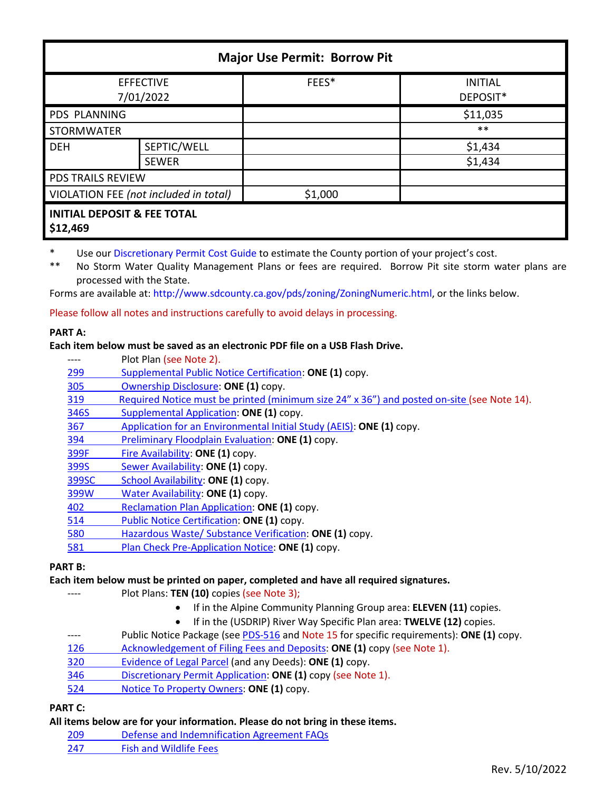| <b>Major Use Permit: Borrow Pit</b>                |              |         |                            |  |
|----------------------------------------------------|--------------|---------|----------------------------|--|
| <b>EFFECTIVE</b><br>7/01/2022                      |              | FEES*   | <b>INITIAL</b><br>DEPOSIT* |  |
| PDS PLANNING                                       |              |         | \$11,035                   |  |
| <b>STORMWATER</b>                                  |              |         | $***$                      |  |
| <b>DEH</b>                                         | SEPTIC/WELL  |         | \$1,434                    |  |
|                                                    | <b>SEWER</b> |         | \$1,434                    |  |
| PDS TRAILS REVIEW                                  |              |         |                            |  |
| VIOLATION FEE (not included in total)              |              | \$1,000 |                            |  |
| <b>INITIAL DEPOSIT &amp; FEE TOTAL</b><br>\$12,469 |              |         |                            |  |

\* Use ou[r Discretionary Permit Cost Guide](http://www.sandiegocounty.gov/content/dam/sdc/pds/docs/Discretionary_Permit_Cost_Guide.xlsx) to estimate the County portion of your project's cost.

\*\* No Storm Water Quality Management Plans or fees are required. Borrow Pit site storm water plans are processed with the State.

Forms are available at: [http://www.sdcounty.ca.gov/pds/zoning/ZoningNumeric.html,](http://www.sdcounty.ca.gov/pds/zoning/ZoningNumeric.html) or the links below.

Please follow all notes and instructions carefully to avoid delays in processing.

### **PART A:**

### **Each item below must be saved as an electronic PDF file on a USB Flash Drive.**

- Plot Plan (see Note 2).
- [299 Supplemental Public Notice Certification:](http://www.sdcounty.ca.gov/pds/zoning/formfields/PDS-PLN-299.pdf) **ONE (1)** copy.
- [305 Ownership Disclosure:](http://www.sdcounty.ca.gov/pds/zoning/formfields/PDS-PLN-305.pdf) **ONE (1)** copy.
- [319 Required Notice must be printed \(minimum size 24" x 36"\) and posted on-site](https://www.sandiegocounty.gov/content/dam/sdc/pds/zoning/formfields/PDS-PLN-319.pdf) (see Note 14).
- [346S Supplemental Application:](http://www.sdcounty.ca.gov/pds/zoning/formfields/PDS-PLN-346S.pdf) **ONE (1)** copy.
- 367 [Application for an Environmental Initial Study \(AEIS\):](http://www.sdcounty.ca.gov/pds/zoning/formfields/PDS-PLN-367.pdf) **ONE (1)** copy.
- 394 [Preliminary Floodplain Evaluation:](http://www.sdcounty.ca.gov/pds/zoning/formfields/PDS-PLN-394.pdf) **ONE (1)** copy.
- [399F Fire Availability:](http://www.sdcounty.ca.gov/pds/zoning/formfields/PDS-PLN-399F.pdf) **ONE (1)** copy.
- 399S [Sewer Availability:](http://www.sdcounty.ca.gov/pds/zoning/formfields/PDS-PLN-399S.pdf) **ONE (1)** copy.
- [399SC School Availability:](http://www.sdcounty.ca.gov/pds/zoning/formfields/PDS-PLN-399SC.pdf) **ONE (1)** copy.
- [399W Water Availability:](http://www.sdcounty.ca.gov/pds/zoning/formfields/PDS-PLN-399W.pdf) **ONE (1)** copy.
- 402 [Reclamation Plan Application:](http://www.sdcounty.ca.gov/pds/zoning/formfields/PDS-PLN-402.pdf) **ONE (1)** copy.
- [514 Public Notice Certification:](http://www.sdcounty.ca.gov/pds/zoning/formfields/PDS-PLN-514.pdf) **ONE (1)** copy.
- [580 Hazardous Waste/ Substance Verification:](http://www.sdcounty.ca.gov/pds/zoning/formfields/PDS-PLN-580.pdf) **ONE (1)** copy.
- 581 [Plan Check Pre-Application Notice:](http://www.sdcounty.ca.gov/pds/zoning/formfields/PDS-PLN-581.pdf) **ONE (1)** copy.

### **PART B:**

### **Each item below must be printed on paper, completed and have all required signatures.**

- ---- Plot Plans: **TEN (10)** copies (see Note 3);
	- If in the Alpine Community Planning Group area: **ELEVEN (11)** copies.
	- If in the (USDRIP) River Way Specific Plan area: **TWELVE (12)** copies.
- ---- Public Notice Package (se[e PDS-516 a](http://www.sdcounty.ca.gov/pds/zoning/formfields/PDS-PLN-516.pdf)nd Note 15 for specific requirements): **ONE (1)** copy.
- [126 Acknowledgement of Filing Fees and Deposits:](http://www.sdcounty.ca.gov/pds/zoning/formfields/PDS-PLN-126.pdf) **ONE (1)** copy (see Note 1).
- [320 Evidence of Legal Parcel](http://www.sdcounty.ca.gov/pds/zoning/formfields/PDS-PLN-320.pdf) (and any Deeds): **ONE (1)** copy.
- [346 Discretionary Permit Application:](http://www.sdcounty.ca.gov/pds/zoning/formfields/PDS-PLN-346.pdf) **ONE (1)** copy (see Note 1).
- 524 [Notice To Property Owners:](http://www.sdcounty.ca.gov/pds/zoning/formfields/PDS-PLN-524.pdf) **ONE (1)** copy.

# **PART C:**

### **All items below are for your information. Please do not bring in these items.**

- 209 [Defense and Indemnification Agreement FAQs](http://www.sdcounty.ca.gov/pds/zoning/formfields/PDS-PLN-209.pdf)
- [247 Fish and Wildlife Fees](http://www.sdcounty.ca.gov/pds/zoning/formfields/PDS-PLN-247.pdf)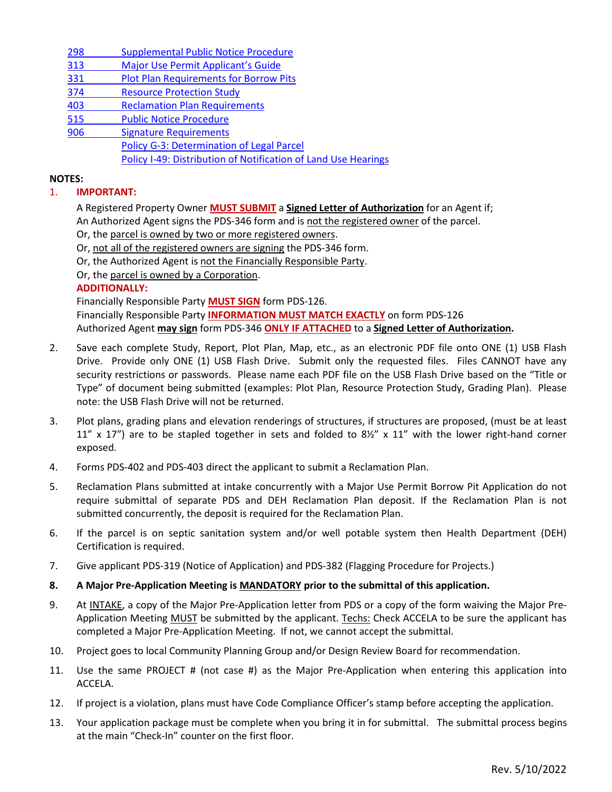[298 Supplemental Public](http://www.sdcounty.ca.gov/pds/zoning/formfields/PDS-PLN-298.pdf) Notice Procedure

- 313 [Major Use Permit Applicant's Guide](http://www.sdcounty.ca.gov/pds/zoning/formfields/PDS-PLN-313.pdf)
- 331 [Plot Plan Requirements for Borrow Pits](http://www.sdcounty.ca.gov/pds/zoning/formfields/PDS-PLN-331.pdf)
- [374 Resource Protection Study](http://www.sdcounty.ca.gov/pds/zoning/formfields/PDS-PLN-374.pdf)
- 403 [Reclamation Plan Requirements](http://www.sdcounty.ca.gov/pds/zoning/formfields/PDS-PLN-403.pdf)
- [515 Public Notice Procedure](http://www.sdcounty.ca.gov/pds/zoning/formfields/PDS-PLN-515.pdf)
- [906 Signature Requirements](http://www.sdcounty.ca.gov/pds/zoning/formfields/PDS-PLN-906.pdf)  [Policy G-3: Determination of Legal Parcel](http://www.sdcounty.ca.gov/pds/zoning/formfields/POLICY-G-3.pdf)  [Policy I-49: Distribution of Notification of Land Use Hearings](http://www.sdcounty.ca.gov/cob/docs/policy/I-49.pdf)

### **NOTES:**

## 1. **IMPORTANT:**

A Registered Property Owner **MUST SUBMIT** a **Signed Letter of Authorization** for an Agent if; An Authorized Agent signs the PDS-346 form and is not the registered owner of the parcel.

Or, the parcel is owned by two or more registered owners.

Or, not all of the registered owners are signing the PDS-346 form.

Or, the Authorized Agent is not the Financially Responsible Party.

Or, the parcel is owned by a Corporation.

### **ADDITIONALLY:**

Financially Responsible Party **MUST SIGN** form PDS-126.

Financially Responsible Party **INFORMATION MUST MATCH EXACTLY** on form PDS-126 Authorized Agent **may sign** form PDS-346 **ONLY IF ATTACHED** to a **Signed Letter of Authorization.** 

- 2. Save each complete Study, Report, Plot Plan, Map, etc., as an electronic PDF file onto ONE (1) USB Flash Drive. Provide only ONE (1) USB Flash Drive. Submit only the requested files. Files CANNOT have any security restrictions or passwords. Please name each PDF file on the USB Flash Drive based on the "Title or Type" of document being submitted (examples: Plot Plan, Resource Protection Study, Grading Plan). Please note: the USB Flash Drive will not be returned.
- 3. Plot plans, grading plans and elevation renderings of structures, if structures are proposed, (must be at least 11" x 17") are to be stapled together in sets and folded to  $8\frac{1}{2}$ " x 11" with the lower right-hand corner exposed.
- 4. Forms PDS-402 and PDS-403 direct the applicant to submit a Reclamation Plan.
- 5. Reclamation Plans submitted at intake concurrently with a Major Use Permit Borrow Pit Application do not require submittal of separate PDS and DEH Reclamation Plan deposit. If the Reclamation Plan is not submitted concurrently, the deposit is required for the Reclamation Plan.
- 6. If the parcel is on septic sanitation system and/or well potable system then Health Department (DEH) Certification is required.
- 7. Give applicant PDS-319 (Notice of Application) and PDS-382 (Flagging Procedure for Projects.)
- **8. A Major Pre-Application Meeting is MANDATORY prior to the submittal of this application.**
- 9. At INTAKE, a copy of the Major Pre-Application letter from PDS or a copy of the form waiving the Major Pre-Application Meeting MUST be submitted by the applicant. Techs: Check ACCELA to be sure the applicant has completed a Major Pre-Application Meeting. If not, we cannot accept the submittal.
- 10. Project goes to local Community Planning Group and/or Design Review Board for recommendation.
- 11. Use the same PROJECT # (not case #) as the Major Pre-Application when entering this application into ACCELA.
- 12. If project is a violation, plans must have Code Compliance Officer's stamp before accepting the application.
- 13. Your application package must be complete when you bring it in for submittal. The submittal process begins at the main "Check-In" counter on the first floor.